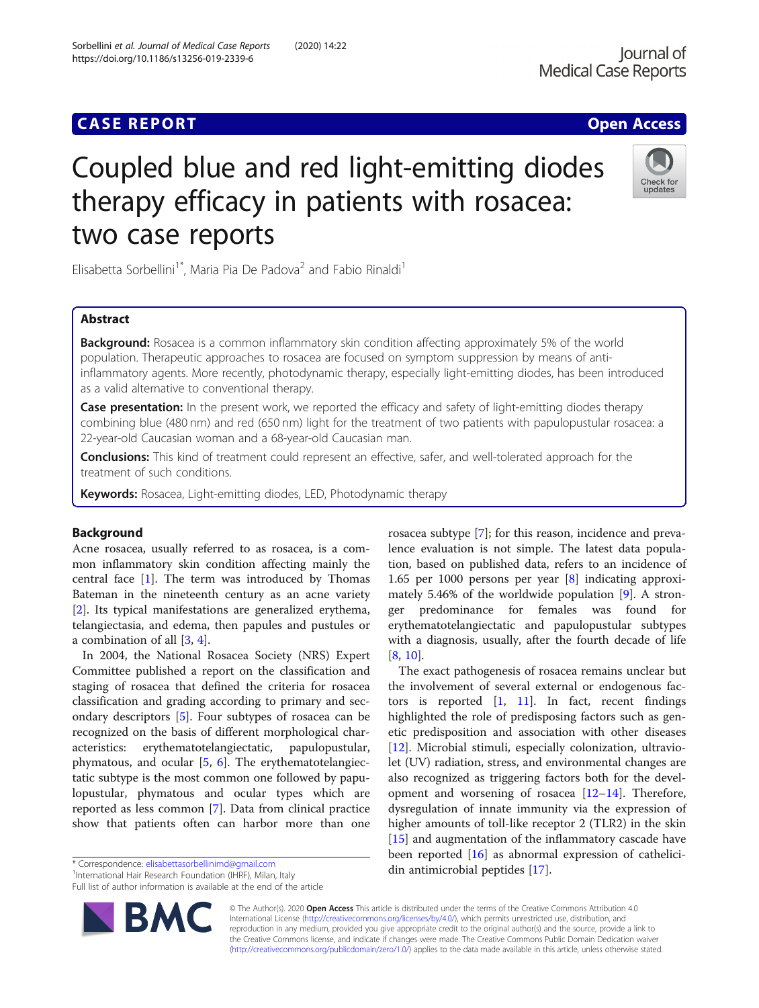## **CASE REPORT CASE ACCESS**

# Coupled blue and red light-emitting diodes therapy efficacy in patients with rosacea: two case reports

Elisabetta Sorbellini<sup>1\*</sup>, Maria Pia De Padova<sup>2</sup> and Fabio Rinaldi<sup>1</sup>

## Abstract

**Background:** Rosacea is a common inflammatory skin condition affecting approximately 5% of the world population. Therapeutic approaches to rosacea are focused on symptom suppression by means of antiinflammatory agents. More recently, photodynamic therapy, especially light-emitting diodes, has been introduced as a valid alternative to conventional therapy.

Case presentation: In the present work, we reported the efficacy and safety of light-emitting diodes therapy combining blue (480 nm) and red (650 nm) light for the treatment of two patients with papulopustular rosacea: a 22-year-old Caucasian woman and a 68-year-old Caucasian man.

Conclusions: This kind of treatment could represent an effective, safer, and well-tolerated approach for the treatment of such conditions.

Keywords: Rosacea, Light-emitting diodes, LED, Photodynamic therapy

### Background

Acne rosacea, usually referred to as rosacea, is a common inflammatory skin condition affecting mainly the central face [\[1](#page-3-0)]. The term was introduced by Thomas Bateman in the nineteenth century as an acne variety [[2\]](#page-3-0). Its typical manifestations are generalized erythema, telangiectasia, and edema, then papules and pustules or a combination of all [[3,](#page-3-0) [4\]](#page-3-0).

In 2004, the National Rosacea Society (NRS) Expert Committee published a report on the classification and staging of rosacea that defined the criteria for rosacea classification and grading according to primary and secondary descriptors [[5\]](#page-3-0). Four subtypes of rosacea can be recognized on the basis of different morphological characteristics: erythematotelangiectatic, papulopustular, phymatous, and ocular  $[5, 6]$  $[5, 6]$  $[5, 6]$  $[5, 6]$ . The erythematotelangiectatic subtype is the most common one followed by papulopustular, phymatous and ocular types which are reported as less common [\[7](#page-3-0)]. Data from clinical practice show that patients often can harbor more than one

\* Correspondence: [elisabettasorbellinimd@gmail.com](mailto:elisabettasorbellinimd@gmail.com) <sup>1</sup>

<sup>1</sup>International Hair Research Foundation (IHRF), Milan, Italy

Full list of author information is available at the end of the article

© The Author(s). 2020 Open Access This article is distributed under the terms of the Creative Commons Attribution 4.0 International License [\(http://creativecommons.org/licenses/by/4.0/](http://creativecommons.org/licenses/by/4.0/)), which permits unrestricted use, distribution, and reproduction in any medium, provided you give appropriate credit to the original author(s) and the source, provide a link to the Creative Commons license, and indicate if changes were made. The Creative Commons Public Domain Dedication waiver [\(http://creativecommons.org/publicdomain/zero/1.0/](http://creativecommons.org/publicdomain/zero/1.0/)) applies to the data made available in this article, unless otherwise stated.

lence evaluation is not simple. The latest data population, based on published data, refers to an incidence of 1.65 per 1000 persons per year [\[8](#page-3-0)] indicating approximately 5.46% of the worldwide population [\[9\]](#page-3-0). A stronger predominance for females was found for erythematotelangiectatic and papulopustular subtypes with a diagnosis, usually, after the fourth decade of life [[8,](#page-3-0) [10\]](#page-3-0). The exact pathogenesis of rosacea remains unclear but

rosacea subtype [\[7](#page-3-0)]; for this reason, incidence and preva-

the involvement of several external or endogenous factors is reported  $\begin{bmatrix} 1 \\ 1 \end{bmatrix}$ . In fact, recent findings highlighted the role of predisposing factors such as genetic predisposition and association with other diseases [[12\]](#page-3-0). Microbial stimuli, especially colonization, ultraviolet (UV) radiation, stress, and environmental changes are also recognized as triggering factors both for the development and worsening of rosacea [\[12](#page-3-0)–[14\]](#page-3-0). Therefore, dysregulation of innate immunity via the expression of higher amounts of toll-like receptor 2 (TLR2) in the skin [[15\]](#page-3-0) and augmentation of the inflammatory cascade have been reported [\[16\]](#page-3-0) as abnormal expression of cathelicidin antimicrobial peptides [[17\]](#page-3-0).



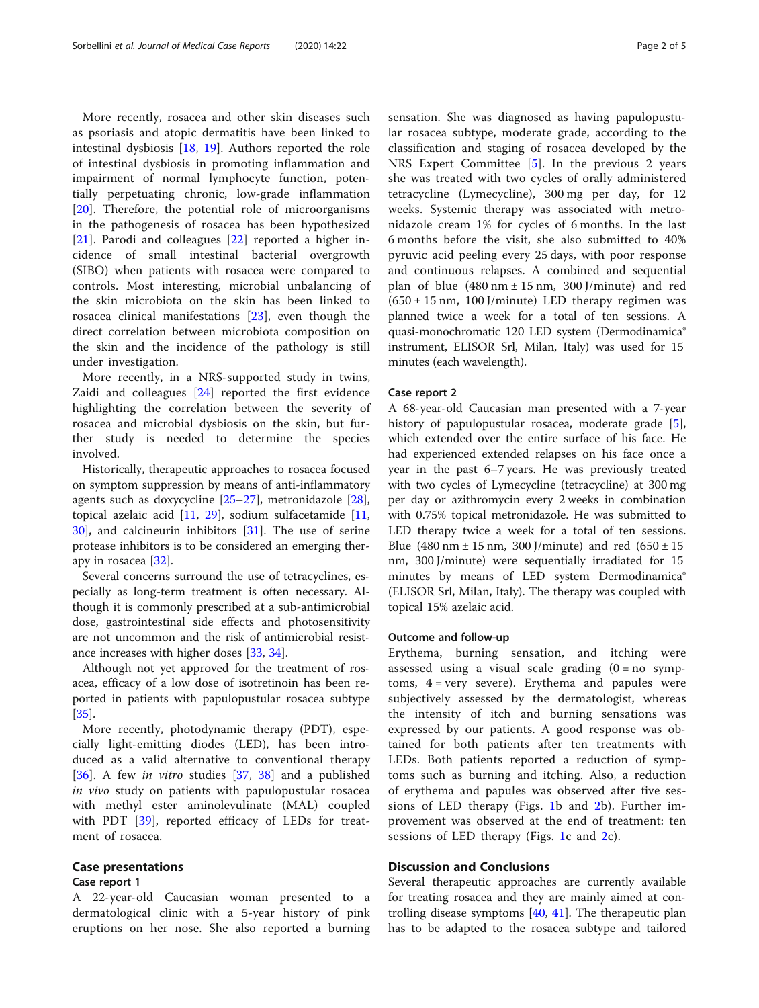More recently, rosacea and other skin diseases such as psoriasis and atopic dermatitis have been linked to intestinal dysbiosis [[18,](#page-3-0) [19\]](#page-3-0). Authors reported the role of intestinal dysbiosis in promoting inflammation and impairment of normal lymphocyte function, potentially perpetuating chronic, low-grade inflammation [[20\]](#page-3-0). Therefore, the potential role of microorganisms in the pathogenesis of rosacea has been hypothesized [[21\]](#page-3-0). Parodi and colleagues [\[22](#page-3-0)] reported a higher incidence of small intestinal bacterial overgrowth (SIBO) when patients with rosacea were compared to controls. Most interesting, microbial unbalancing of the skin microbiota on the skin has been linked to rosacea clinical manifestations [[23](#page-3-0)], even though the direct correlation between microbiota composition on the skin and the incidence of the pathology is still under investigation.

More recently, in a NRS-supported study in twins, Zaidi and colleagues [[24\]](#page-3-0) reported the first evidence highlighting the correlation between the severity of rosacea and microbial dysbiosis on the skin, but further study is needed to determine the species involved.

Historically, therapeutic approaches to rosacea focused on symptom suppression by means of anti-inflammatory agents such as doxycycline [\[25](#page-3-0)–[27\]](#page-3-0), metronidazole [\[28](#page-3-0)], topical azelaic acid [\[11](#page-3-0), [29\]](#page-3-0), sodium sulfacetamide [[11](#page-3-0), [30\]](#page-3-0), and calcineurin inhibitors [[31\]](#page-4-0). The use of serine protease inhibitors is to be considered an emerging therapy in rosacea [[32\]](#page-4-0).

Several concerns surround the use of tetracyclines, especially as long-term treatment is often necessary. Although it is commonly prescribed at a sub-antimicrobial dose, gastrointestinal side effects and photosensitivity are not uncommon and the risk of antimicrobial resistance increases with higher doses [\[33,](#page-4-0) [34\]](#page-4-0).

Although not yet approved for the treatment of rosacea, efficacy of a low dose of isotretinoin has been reported in patients with papulopustular rosacea subtype [[35\]](#page-4-0).

More recently, photodynamic therapy (PDT), especially light-emitting diodes (LED), has been introduced as a valid alternative to conventional therapy [[36\]](#page-4-0). A few *in vitro* studies [[37,](#page-4-0) [38\]](#page-4-0) and a published in vivo study on patients with papulopustular rosacea with methyl ester aminolevulinate (MAL) coupled with PDT [[39](#page-4-0)], reported efficacy of LEDs for treatment of rosacea.

#### Case presentations

#### Case report 1

A 22-year-old Caucasian woman presented to a dermatological clinic with a 5-year history of pink eruptions on her nose. She also reported a burning sensation. She was diagnosed as having papulopustular rosacea subtype, moderate grade, according to the classification and staging of rosacea developed by the NRS Expert Committee [\[5](#page-3-0)]. In the previous 2 years she was treated with two cycles of orally administered tetracycline (Lymecycline), 300 mg per day, for 12 weeks. Systemic therapy was associated with metronidazole cream 1% for cycles of 6 months. In the last 6 months before the visit, she also submitted to 40% pyruvic acid peeling every 25 days, with poor response and continuous relapses. A combined and sequential plan of blue  $(480 \text{ nm} \pm 15 \text{ nm}, 300 \text{ J/minute})$  and red  $(650 \pm 15 \text{ nm}, 100 \text{ J/minute})$  LED therapy regimen was planned twice a week for a total of ten sessions. A quasi-monochromatic 120 LED system (Dermodinamica® instrument, ELISOR Srl, Milan, Italy) was used for 15 minutes (each wavelength).

#### Case report 2

A 68-year-old Caucasian man presented with a 7-year history of papulopustular rosacea, moderate grade [\[5](#page-3-0)], which extended over the entire surface of his face. He had experienced extended relapses on his face once a year in the past 6–7 years. He was previously treated with two cycles of Lymecycline (tetracycline) at 300 mg per day or azithromycin every 2 weeks in combination with 0.75% topical metronidazole. He was submitted to LED therapy twice a week for a total of ten sessions. Blue  $(480 \text{ nm} \pm 15 \text{ nm}, 300 \text{ J/minute})$  and red  $(650 \pm 15$ nm, 300 J/minute) were sequentially irradiated for 15 minutes by means of LED system Dermodinamica® (ELISOR Srl, Milan, Italy). The therapy was coupled with topical 15% azelaic acid.

#### Outcome and follow-up

Erythema, burning sensation, and itching were assessed using a visual scale grading  $(0 = no \text{ symp}$ toms,  $4 = very$  severe). Erythema and papules were subjectively assessed by the dermatologist, whereas the intensity of itch and burning sensations was expressed by our patients. A good response was obtained for both patients after ten treatments with LEDs. Both patients reported a reduction of symptoms such as burning and itching. Also, a reduction of erythema and papules was observed after five sessions of LED therapy (Figs. [1](#page-2-0)b and [2b](#page-2-0)). Further improvement was observed at the end of treatment: ten sessions of LED therapy (Figs. [1](#page-2-0)c and [2](#page-2-0)c).

#### Discussion and Conclusions

Several therapeutic approaches are currently available for treating rosacea and they are mainly aimed at controlling disease symptoms [\[40,](#page-4-0) [41](#page-4-0)]. The therapeutic plan has to be adapted to the rosacea subtype and tailored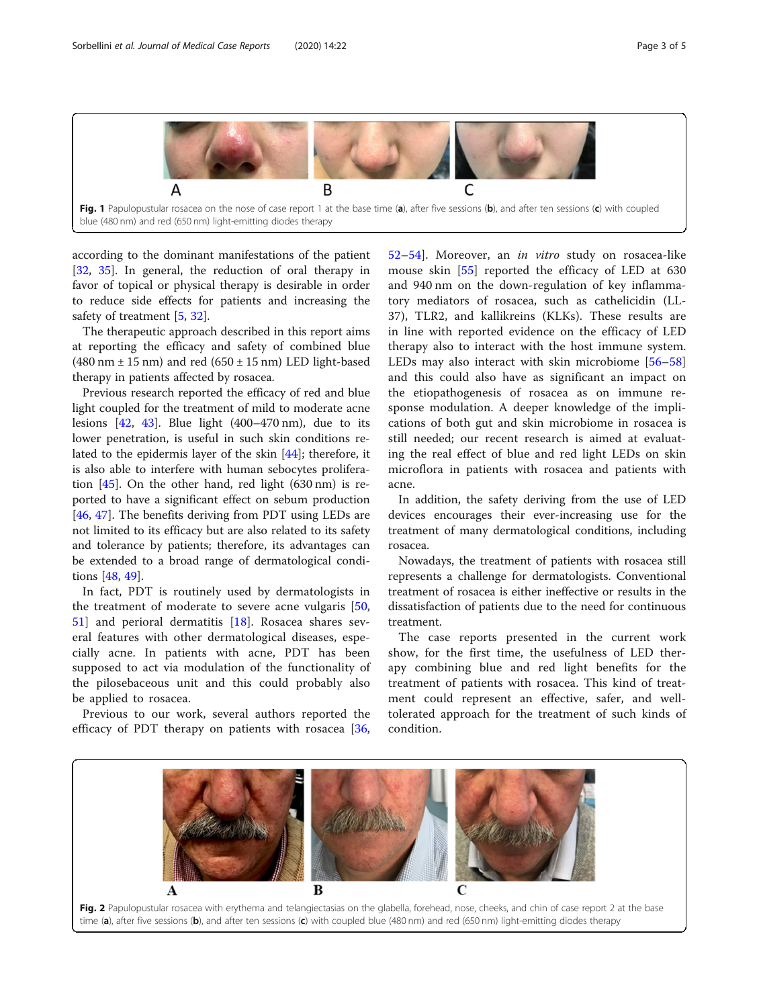<span id="page-2-0"></span>

blue (480 nm) and red (650 nm) light-emitting diodes therapy

according to the dominant manifestations of the patient [[32,](#page-4-0) [35](#page-4-0)]. In general, the reduction of oral therapy in favor of topical or physical therapy is desirable in order to reduce side effects for patients and increasing the safety of treatment [[5,](#page-3-0) [32](#page-4-0)].

The therapeutic approach described in this report aims at reporting the efficacy and safety of combined blue  $(480 \text{ nm} \pm 15 \text{ nm})$  and red  $(650 \pm 15 \text{ nm})$  LED light-based therapy in patients affected by rosacea.

Previous research reported the efficacy of red and blue light coupled for the treatment of mild to moderate acne lesions  $[42, 43]$  $[42, 43]$  $[42, 43]$  $[42, 43]$ . Blue light  $(400-470)$  nm), due to its lower penetration, is useful in such skin conditions related to the epidermis layer of the skin [[44\]](#page-4-0); therefore, it is also able to interfere with human sebocytes proliferation [\[45](#page-4-0)]. On the other hand, red light (630 nm) is reported to have a significant effect on sebum production [[46,](#page-4-0) [47\]](#page-4-0). The benefits deriving from PDT using LEDs are not limited to its efficacy but are also related to its safety and tolerance by patients; therefore, its advantages can be extended to a broad range of dermatological conditions [[48,](#page-4-0) [49\]](#page-4-0).

In fact, PDT is routinely used by dermatologists in the treatment of moderate to severe acne vulgaris [\[50](#page-4-0), [51\]](#page-4-0) and perioral dermatitis [[18\]](#page-3-0). Rosacea shares several features with other dermatological diseases, especially acne. In patients with acne, PDT has been supposed to act via modulation of the functionality of the pilosebaceous unit and this could probably also be applied to rosacea.

Previous to our work, several authors reported the efficacy of PDT therapy on patients with rosacea [\[36](#page-4-0),

[52](#page-4-0)–[54\]](#page-4-0). Moreover, an in vitro study on rosacea-like mouse skin [[55](#page-4-0)] reported the efficacy of LED at 630 and 940 nm on the down-regulation of key inflammatory mediators of rosacea, such as cathelicidin (LL-37), TLR2, and kallikreins (KLKs). These results are in line with reported evidence on the efficacy of LED therapy also to interact with the host immune system. LEDs may also interact with skin microbiome [\[56](#page-4-0)–[58](#page-4-0)] and this could also have as significant an impact on the etiopathogenesis of rosacea as on immune response modulation. A deeper knowledge of the implications of both gut and skin microbiome in rosacea is still needed; our recent research is aimed at evaluating the real effect of blue and red light LEDs on skin microflora in patients with rosacea and patients with acne.

In addition, the safety deriving from the use of LED devices encourages their ever-increasing use for the treatment of many dermatological conditions, including rosacea.

Nowadays, the treatment of patients with rosacea still represents a challenge for dermatologists. Conventional treatment of rosacea is either ineffective or results in the dissatisfaction of patients due to the need for continuous treatment.

The case reports presented in the current work show, for the first time, the usefulness of LED therapy combining blue and red light benefits for the treatment of patients with rosacea. This kind of treatment could represent an effective, safer, and welltolerated approach for the treatment of such kinds of condition.

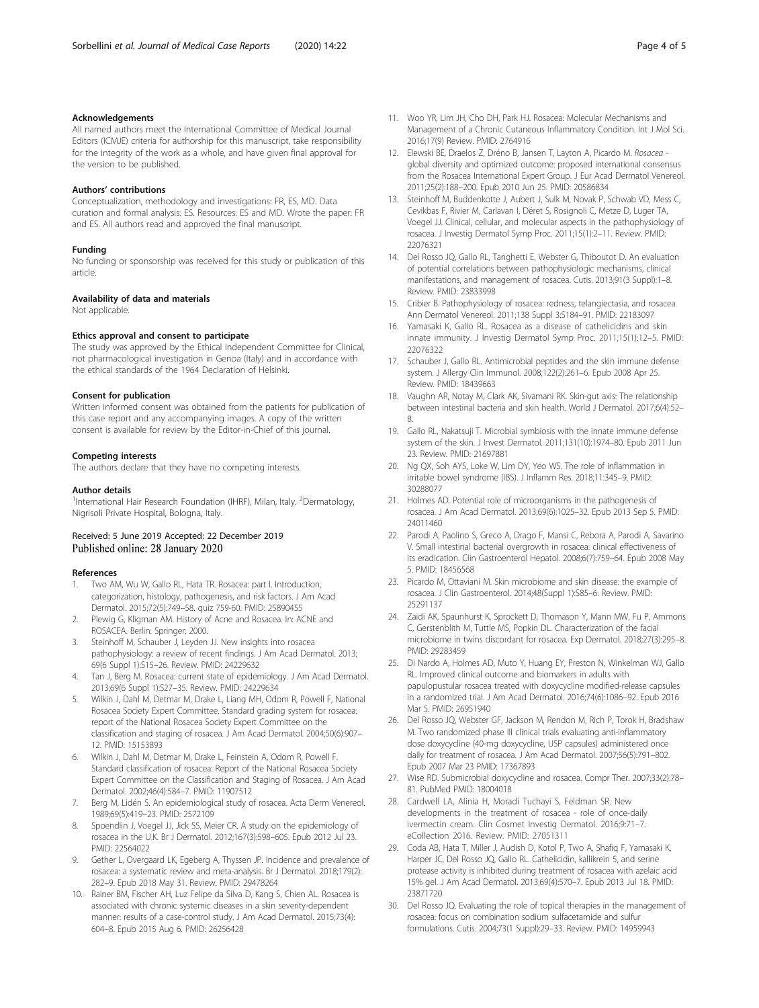#### <span id="page-3-0"></span>Acknowledgements

All named authors meet the International Committee of Medical Journal Editors (ICMJE) criteria for authorship for this manuscript, take responsibility for the integrity of the work as a whole, and have given final approval for the version to be published.

#### Authors' contributions

Conceptualization, methodology and investigations: FR, ES, MD. Data curation and formal analysis: ES. Resources: ES and MD. Wrote the paper: FR and ES. All authors read and approved the final manuscript.

#### Funding

No funding or sponsorship was received for this study or publication of this article.

#### Availability of data and materials

Not applicable.

#### Ethics approval and consent to participate

The study was approved by the Ethical Independent Committee for Clinical, not pharmacological investigation in Genoa (Italy) and in accordance with the ethical standards of the 1964 Declaration of Helsinki.

#### Consent for publication

Written informed consent was obtained from the patients for publication of this case report and any accompanying images. A copy of the written consent is available for review by the Editor-in-Chief of this journal.

#### Competing interests

The authors declare that they have no competing interests.

#### Author details

<sup>1</sup>International Hair Research Foundation (IHRF), Milan, Italy. <sup>2</sup>Dermatology, Nigrisoli Private Hospital, Bologna, Italy.

#### Received: 5 June 2019 Accepted: 22 December 2019 Published online: 28 January 2020

#### References

- Two AM, Wu W, Gallo RL, Hata TR. Rosacea: part I. Introduction, categorization, histology, pathogenesis, and risk factors. J Am Acad Dermatol. 2015;72(5):749–58. quiz 759-60. PMID: 25890455
- 2. Plewig G, Kligman AM. History of Acne and Rosacea. In: ACNE and ROSACEA. Berlin: Springer; 2000.
- Steinhoff M, Schauber J, Leyden JJ. New insights into rosacea pathophysiology: a review of recent findings. J Am Acad Dermatol. 2013; 69(6 Suppl 1):S15–26. Review. PMID: 24229632
- 4. Tan J, Berg M. Rosacea: current state of epidemiology. J Am Acad Dermatol. 2013;69(6 Suppl 1):S27–35. Review. PMID: 24229634
- 5. Wilkin J, Dahl M, Detmar M, Drake L, Liang MH, Odom R, Powell F, National Rosacea Society Expert Committee. Standard grading system for rosacea: report of the National Rosacea Society Expert Committee on the classification and staging of rosacea. J Am Acad Dermatol. 2004;50(6):907– 12. PMID: 15153893
- 6. Wilkin J, Dahl M, Detmar M, Drake L, Feinstein A, Odom R, Powell F. Standard classification of rosacea: Report of the National Rosacea Society Expert Committee on the Classification and Staging of Rosacea. J Am Acad Dermatol. 2002;46(4):584–7. PMID: 11907512
- 7. Berg M, Lidén S. An epidemiological study of rosacea. Acta Derm Venereol. 1989;69(5):419–23. PMID: 2572109
- Spoendlin J, Voegel JJ, Jick SS, Meier CR. A study on the epidemiology of rosacea in the U.K. Br J Dermatol. 2012;167(3):598–605. Epub 2012 Jul 23. PMID: 22564022
- 9. Gether L, Overgaard LK, Egeberg A, Thyssen JP. Incidence and prevalence of rosacea: a systematic review and meta-analysis. Br J Dermatol. 2018;179(2): 282–9. Epub 2018 May 31. Review. PMID: 29478264
- 10. Rainer BM, Fischer AH, Luz Felipe da Silva D, Kang S, Chien AL. Rosacea is associated with chronic systemic diseases in a skin severity-dependent manner: results of a case-control study. J Am Acad Dermatol. 2015;73(4): 604–8. Epub 2015 Aug 6. PMID: 26256428
- 11. Woo YR, Lim JH, Cho DH, Park HJ. Rosacea: Molecular Mechanisms and Management of a Chronic Cutaneous Inflammatory Condition. Int J Mol Sci. 2016;17(9) Review. PMID: 2764916
- 12. Elewski BE, Draelos Z, Dréno B, Jansen T, Layton A, Picardo M. Rosacea global diversity and optimized outcome: proposed international consensus from the Rosacea International Expert Group. J Eur Acad Dermatol Venereol. 2011;25(2):188–200. Epub 2010 Jun 25. PMID: 20586834
- 13. Steinhoff M, Buddenkotte J, Aubert J, Sulk M, Novak P, Schwab VD, Mess C, Cevikbas F, Rivier M, Carlavan I, Déret S, Rosignoli C, Metze D, Luger TA, Voegel JJ. Clinical, cellular, and molecular aspects in the pathophysiology of rosacea. J Investig Dermatol Symp Proc. 2011;15(1):2–11. Review. PMID: 22076321
- 14. Del Rosso JQ, Gallo RL, Tanghetti E, Webster G, Thiboutot D. An evaluation of potential correlations between pathophysiologic mechanisms, clinical manifestations, and management of rosacea. Cutis. 2013;91(3 Suppl):1–8. Review. PMID: 23833998
- 15. Cribier B. Pathophysiology of rosacea: redness, telangiectasia, and rosacea. Ann Dermatol Venereol. 2011;138 Suppl 3:S184–91. PMID: 22183097
- 16. Yamasaki K, Gallo RL. Rosacea as a disease of cathelicidins and skin innate immunity. J Investig Dermatol Symp Proc. 2011;15(1):12–5. PMID: 22076322
- 17. Schauber J, Gallo RL. Antimicrobial peptides and the skin immune defense system. J Allergy Clin Immunol. 2008;122(2):261–6. Epub 2008 Apr 25. Review. PMID: 18439663
- 18. Vaughn AR, Notay M, Clark AK, Sivamani RK. Skin-gut axis: The relationship between intestinal bacteria and skin health. World J Dermatol. 2017;6(4):52– 8.
- 19. Gallo RL, Nakatsuji T. Microbial symbiosis with the innate immune defense system of the skin. J Invest Dermatol. 2011;131(10):1974–80. Epub 2011 Jun 23. Review. PMID: 21697881
- 20. Ng QX, Soh AYS, Loke W, Lim DY, Yeo WS. The role of inflammation in irritable bowel syndrome (IBS). J Inflamm Res. 2018;11:345–9. PMID: 30288077
- 21. Holmes AD. Potential role of microorganisms in the pathogenesis of rosacea. J Am Acad Dermatol. 2013;69(6):1025–32. Epub 2013 Sep 5. PMID: 24011460
- 22. Parodi A, Paolino S, Greco A, Drago F, Mansi C, Rebora A, Parodi A, Savarino V. Small intestinal bacterial overgrowth in rosacea: clinical effectiveness of its eradication. Clin Gastroenterol Hepatol. 2008;6(7):759–64. Epub 2008 May 5. PMID: 18456568
- 23. Picardo M, Ottaviani M. Skin microbiome and skin disease: the example of rosacea. J Clin Gastroenterol. 2014;48(Suppl 1):S85–6. Review. PMID: 25291137
- 24. Zaidi AK, Spaunhurst K, Sprockett D, Thomason Y, Mann MW, Fu P, Ammons C, Gerstenblith M, Tuttle MS, Popkin DL. Characterization of the facial microbiome in twins discordant for rosacea. Exp Dermatol. 2018;27(3):295–8. PMID: 29283459
- 25. Di Nardo A, Holmes AD, Muto Y, Huang EY, Preston N, Winkelman WJ, Gallo RL. Improved clinical outcome and biomarkers in adults with papulopustular rosacea treated with doxycycline modified-release capsules in a randomized trial. J Am Acad Dermatol. 2016;74(6):1086–92. Epub 2016 Mar 5. PMID: 26951940
- 26. Del Rosso JQ, Webster GF, Jackson M, Rendon M, Rich P, Torok H, Bradshaw M. Two randomized phase III clinical trials evaluating anti-inflammatory dose doxycycline (40-mg doxycycline, USP capsules) administered once daily for treatment of rosacea. J Am Acad Dermatol. 2007;56(5):791–802. Epub 2007 Mar 23 PMID: 17367893
- 27. Wise RD. Submicrobial doxycycline and rosacea. Compr Ther. 2007;33(2):78– 81. PubMed PMID: 18004018
- 28. Cardwell LA, Alinia H, Moradi Tuchayi S, Feldman SR. New developments in the treatment of rosacea - role of once-daily ivermectin cream. Clin Cosmet Investig Dermatol. 2016;9:71–7. eCollection 2016. Review. PMID: 27051311
- 29. Coda AB, Hata T, Miller J, Audish D, Kotol P, Two A, Shafiq F, Yamasaki K, Harper JC, Del Rosso JQ, Gallo RL. Cathelicidin, kallikrein 5, and serine protease activity is inhibited during treatment of rosacea with azelaic acid 15% gel. J Am Acad Dermatol. 2013;69(4):570–7. Epub 2013 Jul 18. PMID: 23871720
- 30. Del Rosso JQ. Evaluating the role of topical therapies in the management of rosacea: focus on combination sodium sulfacetamide and sulfur formulations. Cutis. 2004;73(1 Suppl):29–33. Review. PMID: 14959943